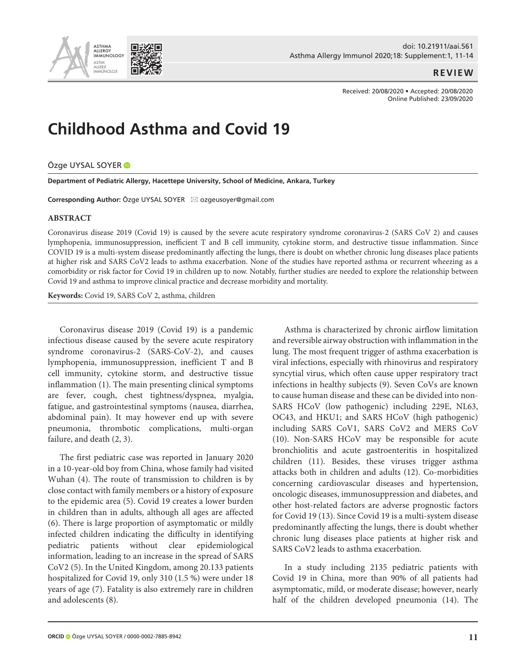

## **REVIEW**

Received: 20/08/2020 • Accepted: 20/08/2020 Online Published: 23/09/2020

# **Childhood Asthma and Covid 19**

## Özge UYSAL SOYER

**Department of Pediatric Allergy, Hacettepe University, School of Medicine, Ankara, Turkey**

**Corresponding Author:** Özge UYSAL SOYER ⊠ ozgeusoyer@gmail.com

#### **ABSTRACT**

Coronavirus disease 2019 (Covid 19) is caused by the severe acute respiratory syndrome coronavirus-2 (SARS CoV 2) and causes lymphopenia, immunosuppression, inefficient T and B cell immunity, cytokine storm, and destructive tissue inflammation. Since COVID 19 is a multi-system disease predominantly affecting the lungs, there is doubt on whether chronic lung diseases place patients at higher risk and SARS CoV2 leads to asthma exacerbation. None of the studies have reported asthma or recurrent wheezing as a comorbidity or risk factor for Covid 19 in children up to now. Notably, further studies are needed to explore the relationship between Covid 19 and asthma to improve clinical practice and decrease morbidity and mortality.

**Keywords:** Covid 19, SARS CoV 2, asthma, children

Coronavirus disease 2019 (Covid 19) is a pandemic infectious disease caused by the severe acute respiratory syndrome coronavirus-2 (SARS-CoV-2), and causes lymphopenia, immunosuppression, inefficient T and B cell immunity, cytokine storm, and destructive tissue inflammation (1). The main presenting clinical symptoms are fever, cough, chest tightness/dyspnea, myalgia, fatigue, and gastrointestinal symptoms (nausea, diarrhea, abdominal pain). It may however end up with severe pneumonia, thrombotic complications, multi-organ failure, and death (2, 3).

The first pediatric case was reported in January 2020 in a 10-year-old boy from China, whose family had visited Wuhan (4). The route of transmission to children is by close contact with family members or a history of exposure to the epidemic area (5). Covid 19 creates a lower burden in children than in adults, although all ages are affected (6). There is large proportion of asymptomatic or mildly infected children indicating the difficulty in identifying pediatric patients without clear epidemiological information, leading to an increase in the spread of SARS CoV2 (5). In the United Kingdom, among 20.133 patients hospitalized for Covid 19, only 310 (1.5 %) were under 18 years of age (7). Fatality is also extremely rare in children and adolescents (8).

Asthma is characterized by chronic airflow limitation and reversible airway obstruction with inflammation in the lung. The most frequent trigger of asthma exacerbation is viral infections, especially with rhinovirus and respiratory syncytial virus, which often cause upper respiratory tract infections in healthy subjects (9). Seven CoVs are known to cause human disease and these can be divided into non-SARS HCoV (low pathogenic) including 229E, NL63, OC43, and HKU1; and SARS HCoV (high pathogenic) including SARS CoV1, SARS CoV2 and MERS CoV (10). Non-SARS HCoV may be responsible for acute bronchiolitis and acute gastroenteritis in hospitalized children (11). Besides, these viruses trigger asthma attacks both in children and adults (12). Co-morbidities concerning cardiovascular diseases and hypertension, oncologic diseases, immunosuppression and diabetes, and other host-related factors are adverse prognostic factors for Covid 19 (13). Since Covid 19 is a multi-system disease predominantly affecting the lungs, there is doubt whether chronic lung diseases place patients at higher risk and SARS CoV2 leads to asthma exacerbation.

In a study including 2135 pediatric patients with Covid 19 in China, more than 90% of all patients had asymptomatic, mild, or moderate disease; however, nearly half of the children developed pneumonia (14). The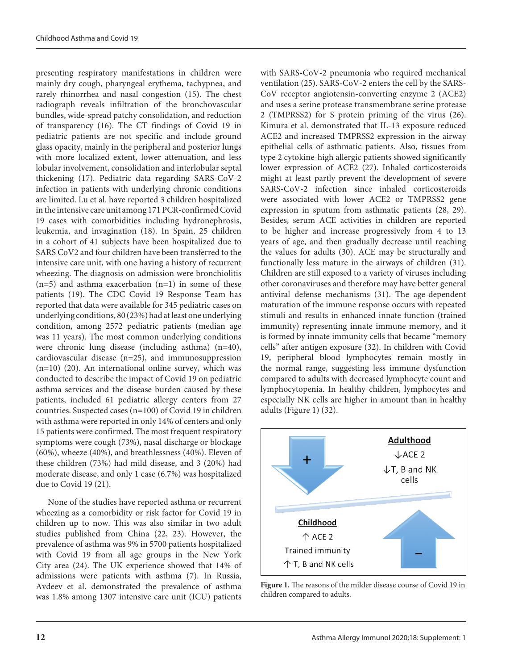presenting respiratory manifestations in children were mainly dry cough, pharyngeal erythema, tachypnea, and rarely rhinorrhea and nasal congestion (15). The chest radiograph reveals infiltration of the bronchovascular bundles, wide-spread patchy consolidation, and reduction of transparency (16). The CT findings of Covid 19 in pediatric patients are not specific and include ground glass opacity, mainly in the peripheral and posterior lungs with more localized extent, lower attenuation, and less lobular involvement, consolidation and interlobular septal thickening (17). Pediatric data regarding SARS-CoV-2 infection in patients with underlying chronic conditions are limited. Lu et al. have reported 3 children hospitalized in the intensive care unit among 171 PCR-confirmed Covid 19 cases with comorbidities including hydronephrosis, leukemia, and invagination (18). In Spain, 25 children in a cohort of 41 subjects have been hospitalized due to SARS CoV2 and four children have been transferred to the intensive care unit, with one having a history of recurrent wheezing. The diagnosis on admission were bronchiolitis  $(n=5)$  and asthma exacerbation  $(n=1)$  in some of these patients (19). The CDC Covid 19 Response Team has reported that data were available for 345 pediatric cases on underlying conditions, 80 (23%) had at least one underlying condition, among 2572 pediatric patients (median age was 11 years). The most common underlying conditions were chronic lung disease (including asthma) (n=40), cardiovascular disease (n=25), and immunosuppression  $(n=10)$  (20). An international online survey, which was conducted to describe the impact of Covid 19 on pediatric asthma services and the disease burden caused by these patients, included 61 pediatric allergy centers from 27 countries. Suspected cases (n=100) of Covid 19 in children with asthma were reported in only 14% of centers and only 15 patients were confirmed. The most frequent respiratory symptoms were cough (73%), nasal discharge or blockage (60%), wheeze (40%), and breathlessness (40%). Eleven of these children (73%) had mild disease, and 3 (20%) had moderate disease, and only 1 case (6.7%) was hospitalized due to Covid 19 (21).

None of the studies have reported asthma or recurrent wheezing as a comorbidity or risk factor for Covid 19 in children up to now. This was also similar in two adult studies published from China (22, 23). However, the prevalence of asthma was 9% in 5700 patients hospitalized with Covid 19 from all age groups in the New York City area (24). The UK experience showed that 14% of admissions were patients with asthma (7). In Russia, Avdeev et al. demonstrated the prevalence of asthma was 1.8% among 1307 intensive care unit (ICU) patients with SARS-CoV-2 pneumonia who required mechanical ventilation (25). SARS-CoV-2 enters the cell by the SARS-CoV receptor angiotensin-converting enzyme 2 (ACE2) and uses a serine protease transmembrane serine protease 2 (TMPRSS2) for S protein priming of the virus (26). Kimura et al. demonstrated that IL-13 exposure reduced ACE2 and increased TMPRSS2 expression in the airway epithelial cells of asthmatic patients. Also, tissues from type 2 cytokine-high allergic patients showed significantly lower expression of ACE2 (27). Inhaled corticosteroids might at least partly prevent the development of severe SARS-CoV-2 infection since inhaled corticosteroids were associated with lower ACE2 or TMPRSS2 gene expression in sputum from asthmatic patients (28, 29). Besides, serum ACE activities in children are reported to be higher and increase progressively from 4 to 13 years of age, and then gradually decrease until reaching the values for adults (30). ACE may be structurally and functionally less mature in the airways of children (31). Children are still exposed to a variety of viruses including other coronaviruses and therefore may have better general antiviral defense mechanisms (31). The age-dependent maturation of the immune response occurs with repeated stimuli and results in enhanced innate function (trained immunity) representing innate immune memory, and it is formed by innate immunity cells that became "memory cells" after antigen exposure (32). In children with Covid 19, peripheral blood lymphocytes remain mostly in the normal range, suggesting less immune dysfunction compared to adults with decreased lymphocyte count and lymphocytopenia. In healthy children, lymphocytes and especially NK cells are higher in amount than in healthy adults (Figure 1) (32).



**Figure 1.** The reasons of the milder disease course of Covid 19 in children compared to adults.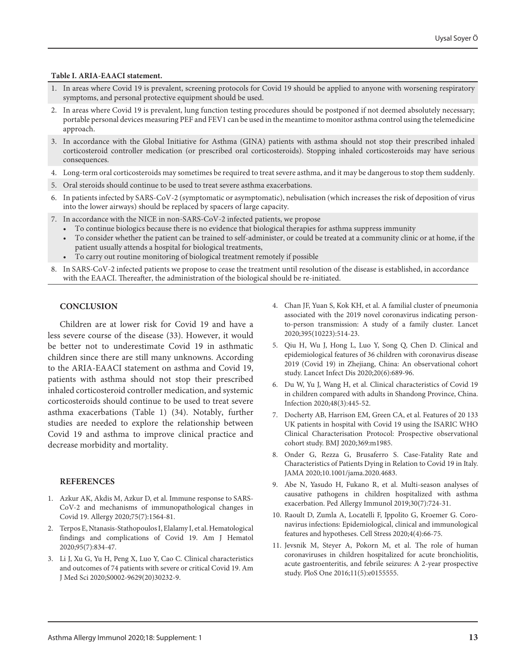#### **Table I. ARIA-EAACI statement.**

- 1. In areas where Covid 19 is prevalent, screening protocols for Covid 19 should be applied to anyone with worsening respiratory symptoms, and personal protective equipment should be used.
- 2. In areas where Covid 19 is prevalent, lung function testing procedures should be postponed if not deemed absolutely necessary; portable personal devices measuring PEF and FEV1 can be used in the meantime to monitor asthma control using the telemedicine approach.
- 3. In accordance with the Global Initiative for Asthma (GINA) patients with asthma should not stop their prescribed inhaled corticosteroid controller medication (or prescribed oral corticosteroids). Stopping inhaled corticosteroids may have serious consequences.
- 4. Long-term oral corticosteroids may sometimes be required to treat severe asthma, and it may be dangerous to stop them suddenly.
- 5. Oral steroids should continue to be used to treat severe asthma exacerbations.
- 6. In patients infected by SARS-CoV-2 (symptomatic or asymptomatic), nebulisation (which increases the risk of deposition of virus into the lower airways) should be replaced by spacers of large capacity.
- 7. In accordance with the NICE in non-SARS-CoV-2 infected patients, we propose
	- To continue biologics because there is no evidence that biological therapies for asthma suppress immunity
	- To consider whether the patient can be trained to self-administer, or could be treated at a community clinic or at home, if the patient usually attends a hospital for biological treatments,
	- To carry out routine monitoring of biological treatment remotely if possible
- 8. In SARS-CoV-2 infected patients we propose to cease the treatment until resolution of the disease is established, in accordance with the EAACI. Thereafter, the administration of the biological should be re-initiated.

## **CONCLUSION**

Children are at lower risk for Covid 19 and have a less severe course of the disease (33). However, it would be better not to underestimate Covid 19 in asthmatic children since there are still many unknowns. According to the ARIA-EAACI statement on asthma and Covid 19, patients with asthma should not stop their prescribed inhaled corticosteroid controller medication, and systemic corticosteroids should continue to be used to treat severe asthma exacerbations (Table 1) (34). Notably, further studies are needed to explore the relationship between Covid 19 and asthma to improve clinical practice and decrease morbidity and mortality.

### **REFERENCES**

- 1. Azkur AK, Akdis M, Azkur D, et al. Immune response to SARS-CoV-2 and mechanisms of immunopathological changes in Covid 19. Allergy 2020;75(7):1564-81.
- 2. Terpos E, Ntanasis-Stathopoulos I, Elalamy I, et al. Hematological findings and complications of Covid 19. Am J Hematol 2020;95(7):834-47.
- 3. Li J, Xu G, Yu H, Peng X, Luo Y, Cao C. Clinical characteristics and outcomes of 74 patients with severe or critical Covid 19. Am J Med Sci 2020;S0002-9629(20)30232-9.
- 4. Chan JF, Yuan S, Kok KH, et al. A familial cluster of pneumonia associated with the 2019 novel coronavirus indicating personto-person transmission: A study of a family cluster. Lancet 2020;395(10223):514-23.
- 5. Qiu H, Wu J, Hong L, Luo Y, Song Q, Chen D. Clinical and epidemiological features of 36 children with coronavirus disease 2019 (Covid 19) in Zhejiang, China: An observational cohort study. Lancet Infect Dis 2020;20(6):689-96.
- 6. Du W, Yu J, Wang H, et al. Clinical characteristics of Covid 19 in children compared with adults in Shandong Province, China. Infection 2020;48(3):445-52.
- 7. Docherty AB, Harrison EM, Green CA, et al. Features of 20 133 UK patients in hospital with Covid 19 using the ISARIC WHO Clinical Characterisation Protocol: Prospective observational cohort study. BMJ 2020;369:m1985.
- 8. Onder G, Rezza G, Brusaferro S. Case-Fatality Rate and Characteristics of Patients Dying in Relation to Covid 19 in Italy. JAMA 2020;10.1001/jama.2020.4683.
- 9. Abe N, Yasudo H, Fukano R, et al. Multi-season analyses of causative pathogens in children hospitalized with asthma exacerbation. Ped Allergy Immunol 2019;30(7):724-31.
- 10. Raoult D, Zumla A, Locatelli F, Ippolito G, Kroemer G. Coronavirus infections: Epidemiological, clinical and immunological features and hypotheses. Cell Stress 2020;4(4):66-75.
- 11. Jevsnik M, Steyer A, Pokorn M, et al. The role of human coronaviruses in children hospitalized for acute bronchiolitis, acute gastroenteritis, and febrile seizures: A 2-year prospective study. PloS One 2016;11(5):e0155555.